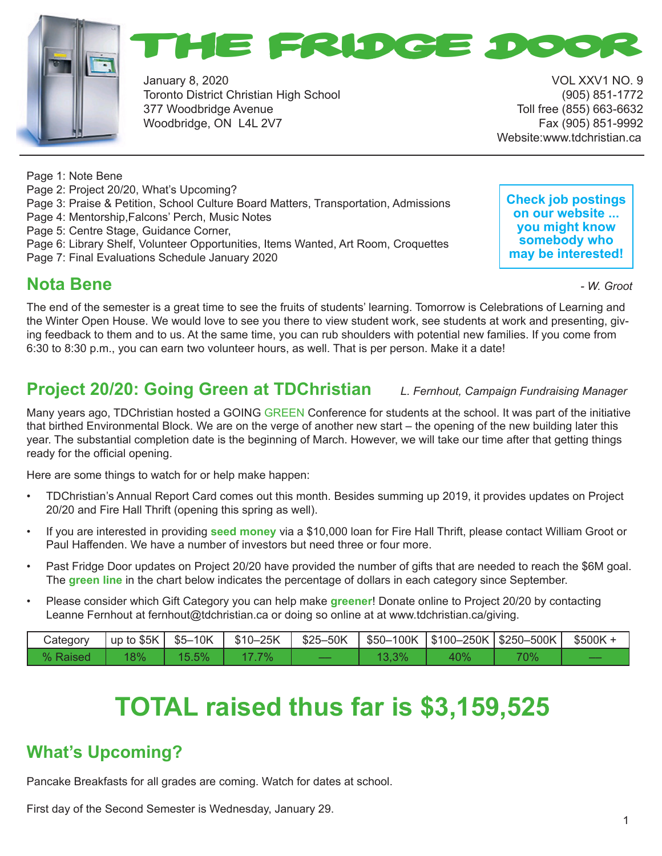



January 8, 2020 VOL XXV1 NO. 9 Toronto District Christian High School (905) 851-1772 377 Woodbridge Avenue Toll free (855) 663-6632 Woodbridge, ON L4L 2V7 Fax (905) 851-9992

Website:www.tdchristian.ca

Page 1: Note Bene Page 2: Project 20/20, What's Upcoming? Page 3: Praise & Petition, School Culture Board Matters, Transportation, Admissions Page 4: Mentorship,Falcons' Perch, Music Notes Page 5: Centre Stage, Guidance Corner, Page 6: Library Shelf, Volunteer Opportunities, Items Wanted, Art Room, Croquettes Page 7: Final Evaluations Schedule January 2020 **Nota Bene** *- W. Groot*

**Check job postings on our website ... you might know somebody who may be interested!**

### **Nota Bene**

The end of the semester is a great time to see the fruits of students' learning. Tomorrow is Celebrations of Learning and the Winter Open House. We would love to see you there to view student work, see students at work and presenting, giving feedback to them and to us. At the same time, you can rub shoulders with potential new families. If you come from 6:30 to 8:30 p.m., you can earn two volunteer hours, as well. That is per person. Make it a date!

### **Project 20/20: Going Green at TDChristian** *L. Fernhout, Campaign Fundraising Manager*

Many years ago, TDChristian hosted a GOING GREEN Conference for students at the school. It was part of the initiative that birthed Environmental Block. We are on the verge of another new start – the opening of the new building later this year. The substantial completion date is the beginning of March. However, we will take our time after that getting things ready for the official opening.

Here are some things to watch for or help make happen:

- TDChristian's Annual Report Card comes out this month. Besides summing up 2019, it provides updates on Project 20/20 and Fire Hall Thrift (opening this spring as well).
- If you are interested in providing **seed money** via a \$10,000 loan for Fire Hall Thrift, please contact William Groot or Paul Haffenden. We have a number of investors but need three or four more.
- Past Fridge Door updates on Project 20/20 have provided the number of gifts that are needed to reach the \$6M goal. The **green line** in the chart below indicates the percentage of dollars in each category since September.
- Please consider which Gift Category you can help make **greener**! Donate online to Project 20/20 by contacting Leanne Fernhout at fernhout@tdchristian.ca or doing so online at at www.tdchristian.ca/giving.

| Category | $\vert$ up to \$5K $\vert$ \$5–10K |          | $$10-25K$ | \$25–50K |       |     | \$50–100K   \$100–250K   \$250–500K | $$500K +$ |
|----------|------------------------------------|----------|-----------|----------|-------|-----|-------------------------------------|-----------|
| % Raised | 18%                                | $15.5\%$ | $7\%$     |          | 13,3% | 40% | 70%                                 |           |

# **TOTAL raised thus far is \$3,159,525**

### **What's Upcoming?**

Pancake Breakfasts for all grades are coming. Watch for dates at school.

First day of the Second Semester is Wednesday, January 29.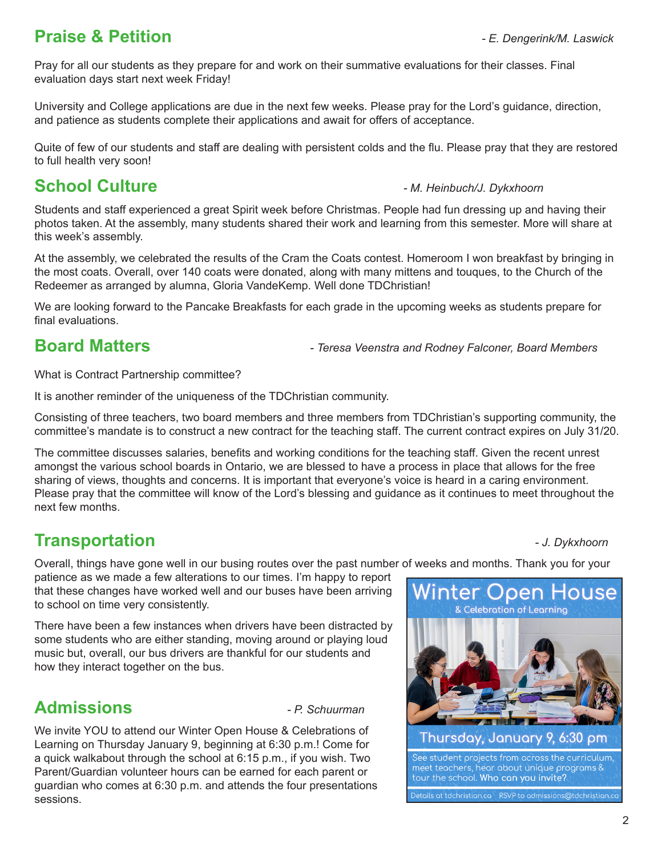### **Praise & Petition** *- E. Dengerink/M. Laswick*

Pray for all our students as they prepare for and work on their summative evaluations for their classes. Final evaluation days start next week Friday!

University and College applications are due in the next few weeks. Please pray for the Lord's guidance, direction, and patience as students complete their applications and await for offers of acceptance.

Quite of few of our students and staff are dealing with persistent colds and the flu. Please pray that they are restored to full health very soon!

### **School Culture** *- M. Heinbuch/J. Dykxhoorn*

Students and staff experienced a great Spirit week before Christmas. People had fun dressing up and having their photos taken. At the assembly, many students shared their work and learning from this semester. More will share at this week's assembly.

At the assembly, we celebrated the results of the Cram the Coats contest. Homeroom I won breakfast by bringing in the most coats. Overall, over 140 coats were donated, along with many mittens and touques, to the Church of the Redeemer as arranged by alumna, Gloria VandeKemp. Well done TDChristian!

We are looking forward to the Pancake Breakfasts for each grade in the upcoming weeks as students prepare for final evaluations.

**Board Matters** *- Teresa Veenstra and Rodney Falconer, Board Members*

What is Contract Partnership committee?

It is another reminder of the uniqueness of the TDChristian community.

Consisting of three teachers, two board members and three members from TDChristian's supporting community, the committee's mandate is to construct a new contract for the teaching staff. The current contract expires on July 31/20.

The committee discusses salaries, benefits and working conditions for the teaching staff. Given the recent unrest amongst the various school boards in Ontario, we are blessed to have a process in place that allows for the free sharing of views, thoughts and concerns. It is important that everyone's voice is heard in a caring environment. Please pray that the committee will know of the Lord's blessing and guidance as it continues to meet throughout the next few months.

#### l **Transportation** *- J. Dykxhoorn*

Overall, things have gone well in our busing routes over the past number of weeks and months. Thank you for your

patience as we made a few alterations to our times. I'm happy to report that these changes have worked well and our buses have been arriving to school on time very consistently.

There have been a few instances when drivers have been distracted by some students who are either standing, moving around or playing loud music but, overall, our bus drivers are thankful for our students and how they interact together on the bus.

### **Admissions** *- P. Schuurman*

We invite YOU to attend our Winter Open House & Celebrations of Learning on Thursday January 9, beginning at 6:30 p.m.! Come for a quick walkabout through the school at 6:15 p.m., if you wish. Two Parent/Guardian volunteer hours can be earned for each parent or guardian who comes at 6:30 p.m. and attends the four presentations sessions.

**Winter Open House** & Celebration of Learning Thursday, January 9, 6:30 pm See student projects from across the curriculum, meet teachers, hear about unique programs & tour the school. Who can you invite? .<br>Details at tdchristian.ca RSVP to admissions@tdchristian.cc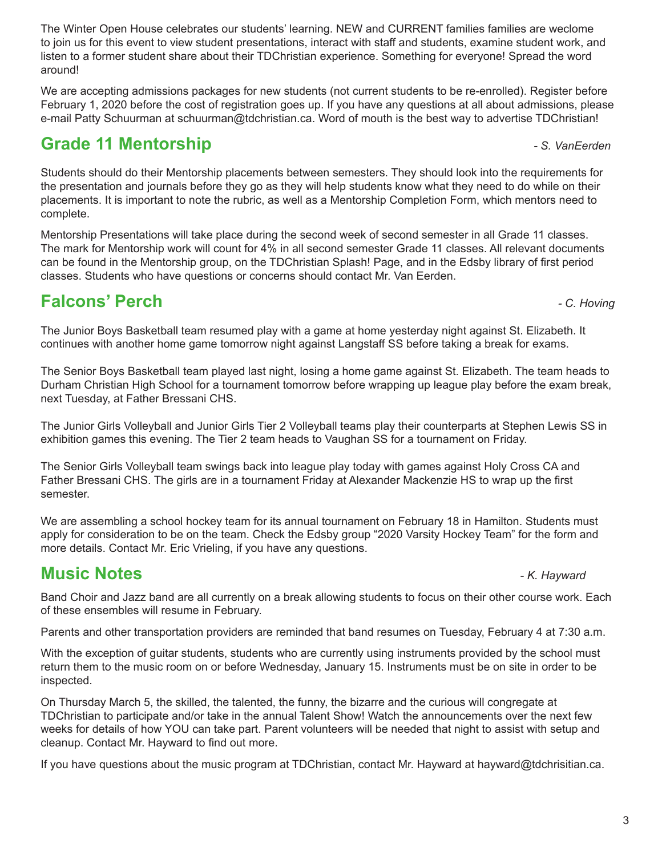3

The Winter Open House celebrates our students' learning. NEW and CURRENT families families are weclome to join us for this event to view student presentations, interact with staff and students, examine student work, and listen to a former student share about their TDChristian experience. Something for everyone! Spread the word around!

We are accepting admissions packages for new students (not current students to be re-enrolled). Register before February 1, 2020 before the cost of registration goes up. If you have any questions at all about admissions, please e-mail Patty Schuurman at schuurman@tdchristian.ca. Word of mouth is the best way to advertise TDChristian!

### **Grade 11 Mentorship** *Grade 11 Mentorship**and the set of the set of the set of the set of the set of the set of the set of the set of the set of the set of the set of the set of the set of the set of the set of the set*

Students should do their Mentorship placements between semesters. They should look into the requirements for the presentation and journals before they go as they will help students know what they need to do while on their placements. It is important to note the rubric, as well as a Mentorship Completion Form, which mentors need to complete.

Mentorship Presentations will take place during the second week of second semester in all Grade 11 classes. The mark for Mentorship work will count for 4% in all second semester Grade 11 classes. All relevant documents can be found in the Mentorship group, on the TDChristian Splash! Page, and in the Edsby library of first period classes. Students who have questions or concerns should contact Mr. Van Eerden.

## **Falcons' Perch** *- C. Hoving*

The Junior Boys Basketball team resumed play with a game at home yesterday night against St. Elizabeth. It continues with another home game tomorrow night against Langstaff SS before taking a break for exams.

The Senior Boys Basketball team played last night, losing a home game against St. Elizabeth. The team heads to Durham Christian High School for a tournament tomorrow before wrapping up league play before the exam break, next Tuesday, at Father Bressani CHS.

The Junior Girls Volleyball and Junior Girls Tier 2 Volleyball teams play their counterparts at Stephen Lewis SS in exhibition games this evening. The Tier 2 team heads to Vaughan SS for a tournament on Friday.

The Senior Girls Volleyball team swings back into league play today with games against Holy Cross CA and Father Bressani CHS. The girls are in a tournament Friday at Alexander Mackenzie HS to wrap up the first semester.

We are assembling a school hockey team for its annual tournament on February 18 in Hamilton. Students must apply for consideration to be on the team. Check the Edsby group "2020 Varsity Hockey Team" for the form and more details. Contact Mr. Eric Vrieling, if you have any questions.

### **Music Notes** *- K. Hayward*

Band Choir and Jazz band are all currently on a break allowing students to focus on their other course work. Each of these ensembles will resume in February.

Parents and other transportation providers are reminded that band resumes on Tuesday, February 4 at 7:30 a.m.

With the exception of guitar students, students who are currently using instruments provided by the school must return them to the music room on or before Wednesday, January 15. Instruments must be on site in order to be inspected.

On Thursday March 5, the skilled, the talented, the funny, the bizarre and the curious will congregate at TDChristian to participate and/or take in the annual Talent Show! Watch the announcements over the next few weeks for details of how YOU can take part. Parent volunteers will be needed that night to assist with setup and cleanup. Contact Mr. Hayward to find out more.

If you have questions about the music program at TDChristian, contact Mr. Hayward at hayward@tdchrisitian.ca.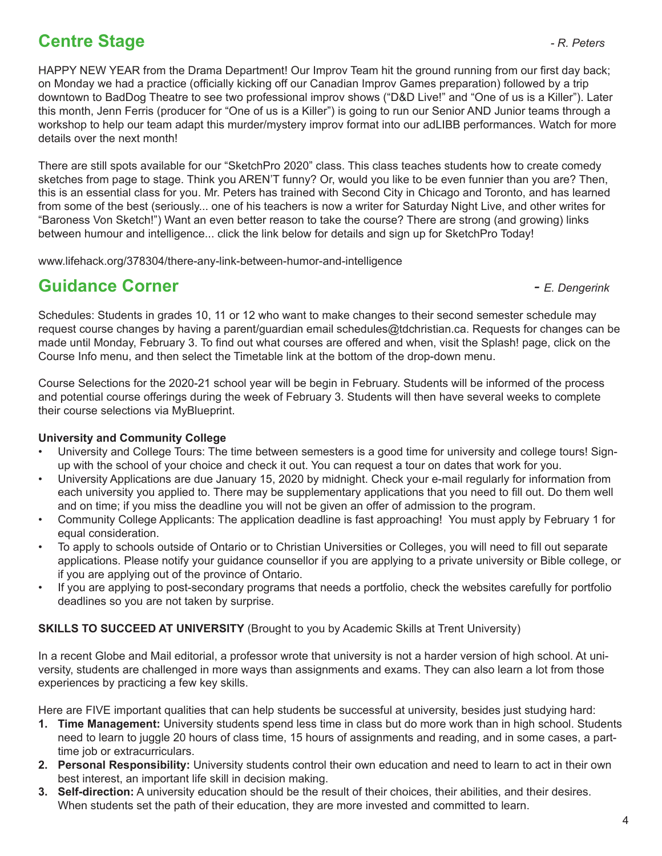### **Centre Stage** *Centre Stage PR. Peters*

HAPPY NEW YEAR from the Drama Department! Our Improv Team hit the ground running from our first day back; on Monday we had a practice (officially kicking off our Canadian Improv Games preparation) followed by a trip downtown to BadDog Theatre to see two professional improv shows ("D&D Live!" and "One of us is a Killer"). Later this month, Jenn Ferris (producer for "One of us is a Killer") is going to run our Senior AND Junior teams through a workshop to help our team adapt this murder/mystery improv format into our adLIBB performances. Watch for more details over the next month!

There are still spots available for our "SketchPro 2020" class. This class teaches students how to create comedy sketches from page to stage. Think you AREN'T funny? Or, would you like to be even funnier than you are? Then, this is an essential class for you. Mr. Peters has trained with Second City in Chicago and Toronto, and has learned from some of the best (seriously... one of his teachers is now a writer for Saturday Night Live, and other writes for "Baroness Von Sketch!") Want an even better reason to take the course? There are strong (and growing) links between humour and intelligence... click the link below for details and sign up for SketchPro Today!

www.lifehack.org/378304/there-any-link-between-humor-and-intelligence

### **Guidance Corner** *- E. Dengerink*

Schedules: Students in grades 10, 11 or 12 who want to make changes to their second semester schedule may request course changes by having a parent/guardian email schedules@tdchristian.ca. Requests for changes can be made until Monday, February 3. To find out what courses are offered and when, visit the Splash! page, click on the Course Info menu, and then select the Timetable link at the bottom of the drop-down menu.

Course Selections for the 2020-21 school year will be begin in February. Students will be informed of the process and potential course offerings during the week of February 3. Students will then have several weeks to complete their course selections via MyBlueprint.

### **University and Community College**

- University and College Tours: The time between semesters is a good time for university and college tours! Signup with the school of your choice and check it out. You can request a tour on dates that work for you.
- University Applications are due January 15, 2020 by midnight. Check your e-mail regularly for information from each university you applied to. There may be supplementary applications that you need to fill out. Do them well and on time; if you miss the deadline you will not be given an offer of admission to the program.
- Community College Applicants: The application deadline is fast approaching! You must apply by February 1 for equal consideration.
- To apply to schools outside of Ontario or to Christian Universities or Colleges, you will need to fill out separate applications. Please notify your guidance counsellor if you are applying to a private university or Bible college, or if you are applying out of the province of Ontario.
- If you are applying to post-secondary programs that needs a portfolio, check the websites carefully for portfolio deadlines so you are not taken by surprise.

#### **SKILLS TO SUCCEED AT UNIVERSITY** (Brought to you by Academic Skills at Trent University)

In a recent Globe and Mail editorial, a professor wrote that university is not a harder version of high school. At university, students are challenged in more ways than assignments and exams. They can also learn a lot from those experiences by practicing a few key skills.

Here are FIVE important qualities that can help students be successful at university, besides just studying hard:

- **1. Time Management:** University students spend less time in class but do more work than in high school. Students need to learn to juggle 20 hours of class time, 15 hours of assignments and reading, and in some cases, a parttime job or extracurriculars.
- **2. Personal Responsibility:** University students control their own education and need to learn to act in their own best interest, an important life skill in decision making.
- **3. Self-direction:** A university education should be the result of their choices, their abilities, and their desires. When students set the path of their education, they are more invested and committed to learn.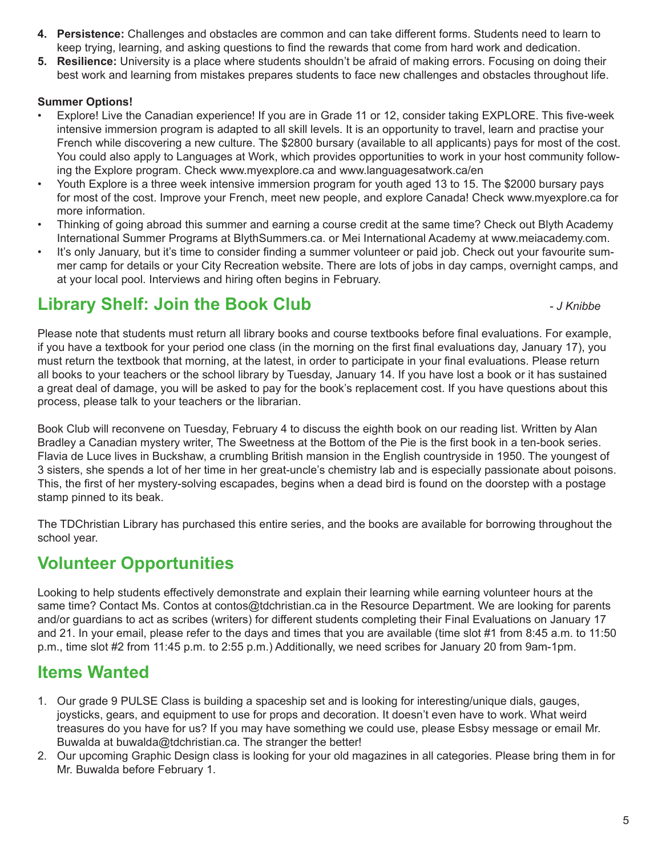- **4. Persistence:** Challenges and obstacles are common and can take different forms. Students need to learn to keep trying, learning, and asking questions to find the rewards that come from hard work and dedication.
- **5. Resilience:** University is a place where students shouldn't be afraid of making errors. Focusing on doing their best work and learning from mistakes prepares students to face new challenges and obstacles throughout life.

### **Summer Options!**

- Explore! Live the Canadian experience! If you are in Grade 11 or 12, consider taking EXPLORE. This five-week intensive immersion program is adapted to all skill levels. It is an opportunity to travel, learn and practise your French while discovering a new culture. The \$2800 bursary (available to all applicants) pays for most of the cost. You could also apply to Languages at Work, which provides opportunities to work in your host community following the Explore program. Check www.myexplore.ca and www.languagesatwork.ca/en
- Youth Explore is a three week intensive immersion program for youth aged 13 to 15. The \$2000 bursary pays for most of the cost. Improve your French, meet new people, and explore Canada! Check www.myexplore.ca for more information.
- Thinking of going abroad this summer and earning a course credit at the same time? Check out Blyth Academy International Summer Programs at BlythSummers.ca. or Mei International Academy at www.meiacademy.com.
- It's only January, but it's time to consider finding a summer volunteer or paid job. Check out your favourite summer camp for details or your City Recreation website. There are lots of jobs in day camps, overnight camps, and at your local pool. Interviews and hiring often begins in February.

### **Library Shelf: Join the Book Club** *- J Knibbe*

Please note that students must return all library books and course textbooks before final evaluations. For example, if you have a textbook for your period one class (in the morning on the first final evaluations day, January 17), you must return the textbook that morning, at the latest, in order to participate in your final evaluations. Please return all books to your teachers or the school library by Tuesday, January 14. If you have lost a book or it has sustained a great deal of damage, you will be asked to pay for the book's replacement cost. If you have questions about this process, please talk to your teachers or the librarian.

Book Club will reconvene on Tuesday, February 4 to discuss the eighth book on our reading list. Written by Alan Bradley a Canadian mystery writer, The Sweetness at the Bottom of the Pie is the first book in a ten-book series. Flavia de Luce lives in Buckshaw, a crumbling British mansion in the English countryside in 1950. The youngest of 3 sisters, she spends a lot of her time in her great-uncle's chemistry lab and is especially passionate about poisons. This, the first of her mystery-solving escapades, begins when a dead bird is found on the doorstep with a postage stamp pinned to its beak.

The TDChristian Library has purchased this entire series, and the books are available for borrowing throughout the school year.

### **Volunteer Opportunities**

Looking to help students effectively demonstrate and explain their learning while earning volunteer hours at the same time? Contact Ms. Contos at contos@tdchristian.ca in the Resource Department. We are looking for parents and/or guardians to act as scribes (writers) for different students completing their Final Evaluations on January 17 and 21. In your email, please refer to the days and times that you are available (time slot #1 from 8:45 a.m. to 11:50 p.m., time slot #2 from 11:45 p.m. to 2:55 p.m.) Additionally, we need scribes for January 20 from 9am-1pm.

### **Items Wanted**

- 1. Our grade 9 PULSE Class is building a spaceship set and is looking for interesting/unique dials, gauges, joysticks, gears, and equipment to use for props and decoration. It doesn't even have to work. What weird treasures do you have for us? If you may have something we could use, please Esbsy message or email Mr. Buwalda at buwalda@tdchristian.ca. The stranger the better!
- 2. Our upcoming Graphic Design class is looking for your old magazines in all categories. Please bring them in for Mr. Buwalda before February 1.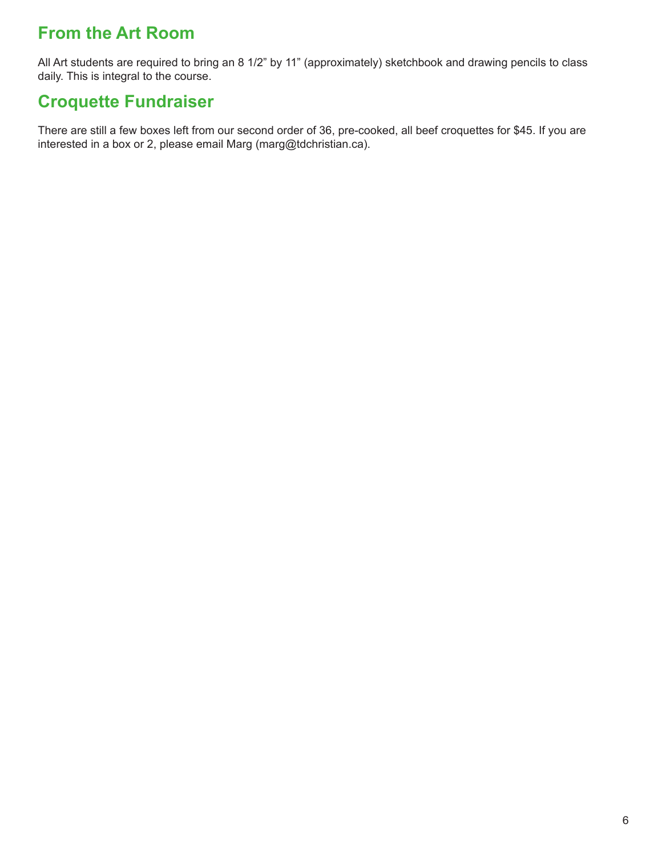### **From the Art Room**

All Art students are required to bring an 8 1/2" by 11" (approximately) sketchbook and drawing pencils to class daily. This is integral to the course.

### **Croquette Fundraiser**

There are still a few boxes left from our second order of 36, pre-cooked, all beef croquettes for \$45. If you are interested in a box or 2, please email Marg (marg@tdchristian.ca).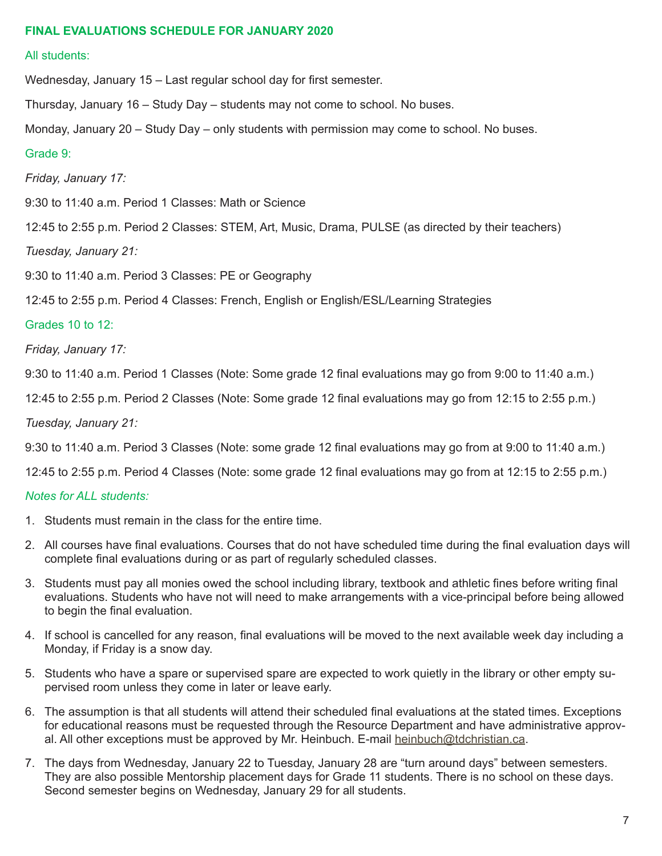#### **FINAL EVALUATIONS SCHEDULE FOR JANUARY 2020**

#### All students:

Wednesday, January 15 – Last regular school day for first semester.

Thursday, January 16 – Study Day – students may not come to school. No buses.

Monday, January 20 – Study Day – only students with permission may come to school. No buses.

#### Grade 9:

*Friday, January 17:* 

9:30 to 11:40 a.m. Period 1 Classes: Math or Science

12:45 to 2:55 p.m. Period 2 Classes: STEM, Art, Music, Drama, PULSE (as directed by their teachers)

*Tuesday, January 21:*

9:30 to 11:40 a.m. Period 3 Classes: PE or Geography

12:45 to 2:55 p.m. Period 4 Classes: French, English or English/ESL/Learning Strategies

#### Grades 10 to 12:

*Friday, January 17:* 

9:30 to 11:40 a.m. Period 1 Classes (Note: Some grade 12 final evaluations may go from 9:00 to 11:40 a.m.)

12:45 to 2:55 p.m. Period 2 Classes (Note: Some grade 12 final evaluations may go from 12:15 to 2:55 p.m.)

*Tuesday, January 21:*

9:30 to 11:40 a.m. Period 3 Classes (Note: some grade 12 final evaluations may go from at 9:00 to 11:40 a.m.)

12:45 to 2:55 p.m. Period 4 Classes (Note: some grade 12 final evaluations may go from at 12:15 to 2:55 p.m.)

#### *Notes for ALL students:*

- 1. Students must remain in the class for the entire time.
- 2. All courses have final evaluations. Courses that do not have scheduled time during the final evaluation days will complete final evaluations during or as part of regularly scheduled classes.
- 3. Students must pay all monies owed the school including library, textbook and athletic fines before writing final evaluations. Students who have not will need to make arrangements with a vice-principal before being allowed to begin the final evaluation.
- 4. If school is cancelled for any reason, final evaluations will be moved to the next available week day including a Monday, if Friday is a snow day.
- 5. Students who have a spare or supervised spare are expected to work quietly in the library or other empty supervised room unless they come in later or leave early.
- 6. The assumption is that all students will attend their scheduled final evaluations at the stated times. Exceptions for educational reasons must be requested through the Resource Department and have administrative approval. All other exceptions must be approved by Mr. Heinbuch. E-mail heinbuch@tdchristian.ca.
- 7. The days from Wednesday, January 22 to Tuesday, January 28 are "turn around days" between semesters. They are also possible Mentorship placement days for Grade 11 students. There is no school on these days. Second semester begins on Wednesday, January 29 for all students.